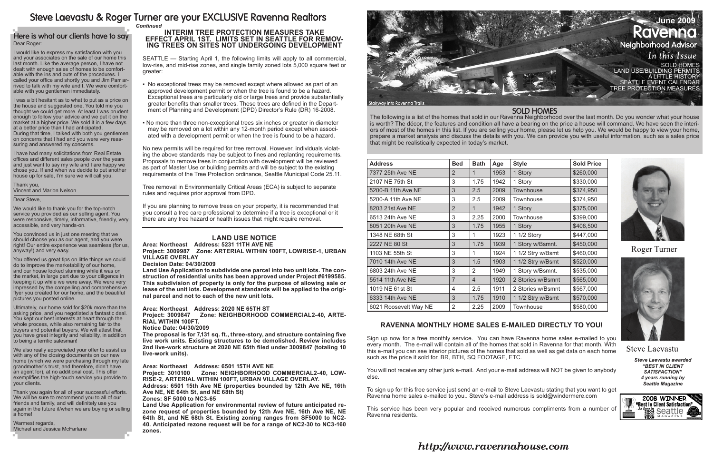The following is a list of the homes that sold in our Ravenna Neighborhood over the last month. Do you wonder what your house is worth? The décor, the features and condition all have a bearing on the price a house will command. We have seen the interiors of most of the homes in this list. If you are selling your home, please let us help you. We would be happy to view your home, prepare a market analysis and discuss the details with you. We can provide you with useful information, such as a sales price that might be realistically expected in today's market.

> *Steve Laevastu awarded "Best In Client Satisfaction" 4 years running by Seattle Magazine*



# Steve Laevastu & Roger Turner are your EXCLUSIVE Ravenna Realtors

#### Here is what our clients have to say Dear Roger:

| <b>Address</b>        | <b>Bed</b>     | <b>Bath</b>    | Age  | <b>Style</b>      | <b>Sold Price</b> |
|-----------------------|----------------|----------------|------|-------------------|-------------------|
| 7377 25th Ave NE      | 2              | 1              | 1953 | 1 Story           | \$260,000         |
| 2107 NE 75th St       | 3              | 1.75           | 1942 | 1 Story           | \$330,000         |
| 5200-B 11th Ave NE    | 3              | 2.5            | 2009 | Townhouse         | \$374,950         |
| 5200-A 11th Ave NE    | 3              | 2.5            | 2009 | Townhouse         | \$374,950         |
| 8203 21st Ave NE      | $\overline{2}$ | 1              | 1942 | 1 Story           | \$375,000         |
| 6513 24th Ave NE      | 3              | 2.25           | 2000 | <b>Townhouse</b>  | \$399,000         |
| 8051 20th Ave NE      | 3              | 1.75           | 1955 | 1 Story           | \$406,500         |
| 1348 NE 68th St       | 3              | 1              | 1923 | 1 1/2 Story       | \$447,000         |
| 2227 NE 80 St         | 3              | 1.75           | 1939 | 1 Story w/Bsmnt.  | \$450,000         |
| 1103 NE 55th St       | 3              | 1              | 1924 | 1 1/2 Stry w/Bsmt | \$460,000         |
| 7010 14th Ave NE      | 3              | 1.5            | 1903 | 1 1/2 Stry w/Bsmt | \$520,000         |
| 6803 24th Ave NE      | 3              | 2              | 1949 | 1 Story w/Bsmnt.  | \$535,000         |
| 5514 11th Ave NE      | $\overline{7}$ | $\overline{4}$ | 1920 | 2 Stories w/Bsmnt | \$565,000         |
| 1019 NE 61st St       | 4              | 2.5            | 1911 | 2 Stories w/Bsmnt | \$567,000         |
| 6333 14th Ave NE      | 3              | 1.75           | 1910 | 1 1/2 Stry w/Bsmt | \$570,000         |
| 6021 Roosevelt Way NE | $\overline{2}$ | 2.25           | 2009 | <b>Townhouse</b>  | \$580,000         |

I would like to express my satisfaction with you and your associates on the sale of our home this last month. Like the average person, I have not dealt with enough sales of homes to be comfortable with the ins and outs of the procedures. I called your office and shortly you and Jim Parr arrived to talk with my wife and I. We were comfortable with you gentlemen immediately.

I was a bit hesitant as to what to put as a price on the house and suggested one. You told me you thought we could get more. At least I was prudent enough to follow your advice and we put it on the market at a higher price. We sold it in a few days at a better price than I had anticipated. During that time, I talked with both you gentlemen on concerns that I had and you were very reassuring and answered my concerns.

I have had many solicitations from Real Estate offices and different sales people over the years and just want to say my wife and I are happy we chose you. If and when we decide to put another house up for sale, I'm sure we will call you.

## **Interim Tree Protection Measures Take ING TREES ON SITES NOT UNDERGOING DEVELOPMENT**

Thank you, Vincent and Marion Nelson

#### Dear Steve,

We would like to thank you for the top-notch service you provided as our selling agent. You were responsive, timely, informative, friendly, very accessible, and very hands-on.

You convinced us in just one meeting that we should choose you as our agent, and you were right! Our entire experience was seamless (for us, anyway!) and very easy.

You offered us great tips on little things we could do to improve the marketability of our home, and our house looked stunning while it was on the market, in large part due to your diligence in keeping it up while we were away. We were very impressed by the compelling and comprehensive flyer you created for our home, and the beautiful pictures you posted online.

Ultimately, our home sold for \$20k more than the asking price, and you negotiated a fantastic deal. You kept our best interests at heart through the whole process, while also remaining fair to the buyers and potential buyers. We will attest that you have great integrity and reliability, in addition to being a terrific salesman!

We also really appreciated your offer to assist us with any of the closing documents on our new home (which we were purchasing through my late grandmother's trust, and therefore, didn't have an agent for), at no additional cost. This offer exemplifies the high-touch service you provide to your clients.

Thank you again for all of your successful efforts. We will be sure to recommend you to all of our friends and family, and will definitely use you again in the future if/when we are buying or selling a home!



Warmest regards, Michael and Jessica McFarlane

### **Ravenna monthly home sales e-mailed directly to you!**

Sign up now for a free monthly service. You can have Ravenna home sales e-mailed to you every month. The e-mail will contain all of the homes that sold in Ravenna for that month. With this e-mail you can see interior pictures of the homes that sold as well as get data on each home such as the price it sold for, BR, BTH, SQ FOOTAGE, ETC.

You will not receive any other junk e-mail. And your e-mail address will NOT be given to anybody else.

To sign up for this free service just send an e-mail to Steve Laevastu stating that you want to get Ravenna home sales e-mailed to you.. Steve's e-mail address is sold@windermere.com

This service has been very popular and received numerous compliments from a number of Ravenna residents.

#### **SOLD HOMES**



**Roger Turner** 



**Steve Laevastu** 

# *Continued*

SEATTLE — Starting April 1, the following limits will apply to all commercial, low-rise, and mid-rise zones, and single family zoned lots 5,000 square feet or greater:

- No exceptional trees may be removed except where allowed as part of an approved development permit or when the tree is found to be a hazard. Exceptional trees are particularly old or large trees and provide substantially greater benefits than smaller trees. These trees are defined in the Department of Planning and Development (DPD) Director's Rule (DR) 16-2008.
- No more than three non-exceptional trees six inches or greater in diameter may be removed on a lot within any 12-month period except when associated with a development permit or when the tree is found to be a hazard.

No new permits will be required for tree removal. However, individuals violating the above standards may be subject to fines and replanting requirements. Proposals to remove trees in conjunction with development will be reviewed as part of Master Use or building permits and will be subject to the existing requirements of the Tree Protection ordinance, Seattle Municipal Code 25.11.

Tree removal in Environmentally Critical Areas (ECA) is subject to separate rules and requires prior approval from DPD.

If you are planning to remove trees on your property, it is recommended that you consult a tree care professional to determine if a tree is exceptional or it there are any tree hazard or health issues that might require removal.

### **Land Use Notice**

#### **Area: Northeast Address: 5231 11TH AVE NE Project: 3009987 Zone: ARTERIAL WITHIN 100FT, LOWRISE-1, URBAN**

#### **VILLAGE OVERLAY Decision Date: 04/30/2009**

**Land Use Application to subdivide one parcel into two unit lots. The construction of residential units has been approved under Project #6199585. This subdivision of property is only for the purpose of allowing sale or lease of the unit lots. Development standards will be applied to the original parcel and not to each of the new unit lots.** 

#### **Area: Northeast Address: 2020 NE 65TH ST**

**Project: 3009847 Zone: NEIGHBORHOOD COMMERCIAL2-40, ARTE-RIAL WITHIN 100FT.** 

#### **Notice Date: 04/30/2009**

**The proposal is for 7,131 sq. ft., three-story, and structure containing five live work units. Existing structures to be demolished. Review includes 2nd live-work structure at 2020 NE 65th filed under 3009847 (totaling 10 live-work units).** 

#### **Area: Northeast Address: 6501 15TH AVE NE**

**Project: 3010100 Zone: NEIGHBORHOOD COMMERCIAL2-40, LOW-RISE-2, ARTERIAL WITHIN 100FT, URBAN VILLAGE OVERLAY.** 

**Address: 6501 15th Ave NE (properties bounded by 12th Ave NE, 16th Ave NE, NE 64th St, and NE 68th St)**

#### **Zones: SF 5000 to NC3-65**

**Land Use Application for environmental review of future anticipated rezone request of properties bounded by 12th Ave NE, 16th Ave NE, NE 64th St, and NE 68th St. Existing zoning ranges from SF5000 to NC2- 40. Anticipated rezone request will be for a range of NC2-30 to NC3-160 zones.**